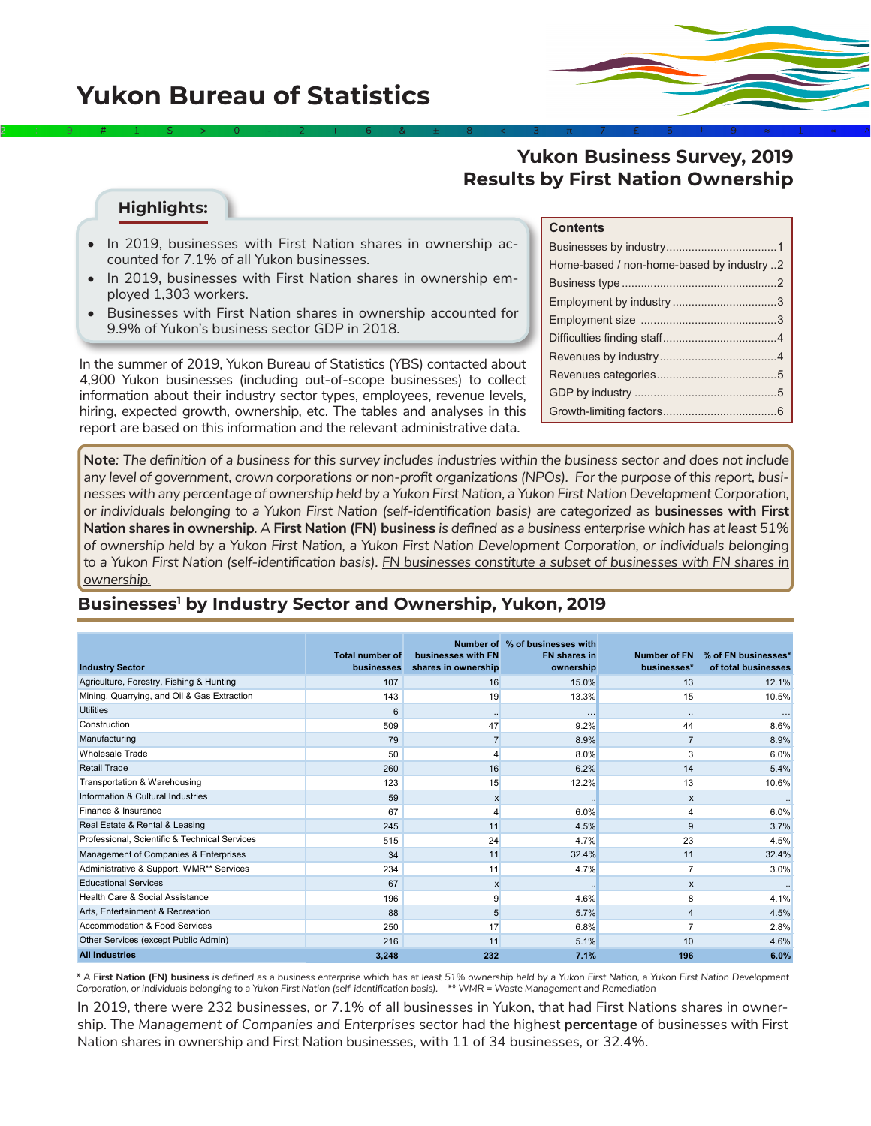# **Yukon Bureau of Statistics**



#### **Highlights:**

- In 2019, businesses with First Nation shares in ownership accounted for 7.1% of all Yukon businesses.
- In 2019, businesses with First Nation shares in ownership employed 1,303 workers.
- Businesses with First Nation shares in ownership accounted for 9.9% of Yukon's business sector GDP in 2018.

In the summer of 2019, Yukon Bureau of Statistics (YBS) contacted about 4,900 Yukon businesses (including out-of-scope businesses) to collect information about their industry sector types, employees, revenue levels, hiring, expected growth, ownership, etc. The tables and analyses in this report are based on this information and the relevant administrative data.

#### **Contents**

| Home-based / non-home-based by industry 2 |
|-------------------------------------------|
|                                           |
|                                           |
|                                           |
|                                           |
|                                           |
|                                           |
|                                           |
|                                           |

**Note***: The definition of a business for this survey includes industries within the business sector and does not include any level of government, crown corporations or non-profit organizations (NPOs). For the purpose of this report, businesses with any percentage of ownership held by a Yukon First Nation, a Yukon First Nation Development Corporation, or individuals belonging to a Yukon First Nation (self-identification basis) are categorized as* **businesses with First Nation shares in ownership***. A* **First Nation (FN) business** *is defined as a business enterprise which has at least 51% of ownership held by a Yukon First Nation, a Yukon First Nation Development Corporation, or individuals belonging to a Yukon First Nation (self-identification basis). FN businesses constitute a subset of businesses with FN shares in ownership.*

2÷9#1\$>0-2+6&±8<3π7£5‡9≈1∞^

#### **Businesses1 by Industry Sector and Ownership, Yukon, 2019**

| <b>Industry Sector</b>                        | <b>Total number of</b><br>businesses | businesses with FN<br>shares in ownership | Number of % of businesses with<br><b>FN</b> shares in<br>ownership | <b>Number of FN</b><br>businesses* | % of FN businesses*<br>of total businesses |
|-----------------------------------------------|--------------------------------------|-------------------------------------------|--------------------------------------------------------------------|------------------------------------|--------------------------------------------|
| Agriculture, Forestry, Fishing & Hunting      | 107                                  | 16                                        | 15.0%                                                              | 13                                 | 12.1%                                      |
| Mining, Quarrying, and Oil & Gas Extraction   | 143                                  | 19                                        | 13.3%                                                              | 15                                 | 10.5%                                      |
| <b>Utilities</b>                              | 6                                    | $\cdots$                                  | $\cdots$                                                           | $\ddot{\phantom{a}}$               |                                            |
| Construction                                  | 509                                  | 47                                        | 9.2%                                                               | 44                                 | 8.6%                                       |
| Manufacturing                                 | 79                                   |                                           | 8.9%                                                               | $\overline{7}$                     | 8.9%                                       |
| <b>Wholesale Trade</b>                        | 50                                   |                                           | 8.0%                                                               | 3                                  | 6.0%                                       |
| <b>Retail Trade</b>                           | 260                                  | 16                                        | 6.2%                                                               | 14                                 | 5.4%                                       |
| Transportation & Warehousing                  | 123                                  | 15                                        | 12.2%                                                              | 13                                 | 10.6%                                      |
| Information & Cultural Industries             | 59                                   | x                                         |                                                                    | X                                  |                                            |
| Finance & Insurance                           | 67                                   |                                           | 6.0%                                                               | 4                                  | 6.0%                                       |
| Real Estate & Rental & Leasing                | 245                                  | 11                                        | 4.5%                                                               | 9                                  | 3.7%                                       |
| Professional, Scientific & Technical Services | 515                                  | 24                                        | 4.7%                                                               | 23                                 | 4.5%                                       |
| Management of Companies & Enterprises         | 34                                   | 11                                        | 32.4%                                                              | 11                                 | 32.4%                                      |
| Administrative & Support, WMR** Services      | 234                                  | 11                                        | 4.7%                                                               | $\overline{7}$                     | 3.0%                                       |
| <b>Educational Services</b>                   | 67                                   | $\mathsf{x}$                              |                                                                    | $\mathsf{x}$                       |                                            |
| Health Care & Social Assistance               | 196                                  | 9                                         | 4.6%                                                               | 8                                  | 4.1%                                       |
| Arts, Entertainment & Recreation              | 88                                   | 5                                         | 5.7%                                                               | 4                                  | 4.5%                                       |
| Accommodation & Food Services                 | 250                                  | 17                                        | 6.8%                                                               |                                    | 2.8%                                       |
| Other Services (except Public Admin)          | 216                                  | 11                                        | 5.1%                                                               | 10                                 | 4.6%                                       |
| <b>All Industries</b>                         | 3,248                                | 232                                       | 7.1%                                                               | 196                                | 6.0%                                       |

*\* A* **First Nation (FN) business** *is defined as a business enterprise which has at least 51% ownership held by a Yukon First Nation, a Yukon First Nation Development Corporation, or individuals belonging to a Yukon First Nation (self-identification basis). \*\* WMR = Waste Management and Remediation*

In 2019, there were 232 businesses, or 7.1% of all businesses in Yukon, that had First Nations shares in ownership. The *Management of Companies and Enterprises* sector had the highest **percentage** of businesses with First Nation shares in ownership and First Nation businesses, with 11 of 34 businesses, or 32.4%.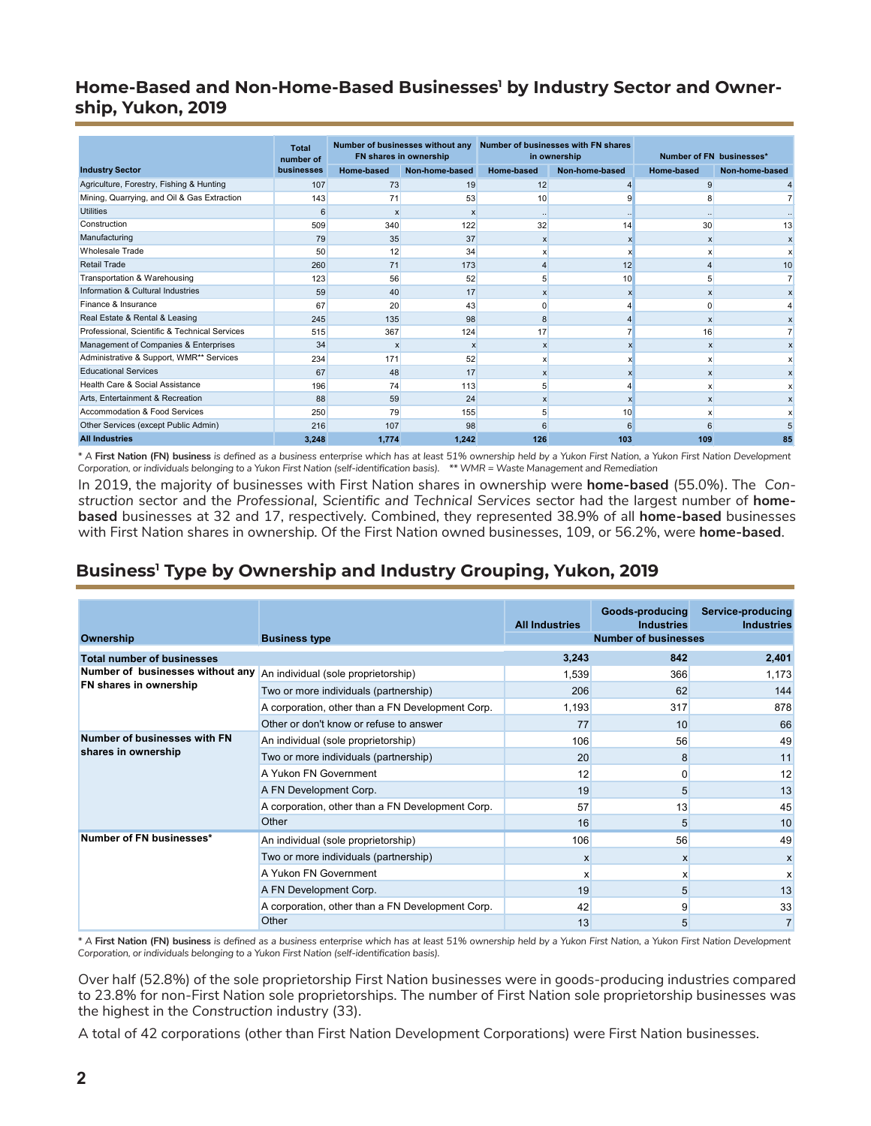#### <span id="page-1-0"></span>Home-Based and Non-Home-Based Businesses<sup>1</sup> by Industry Sector and Owner**ship, Yukon, 2019**

|                                               | <b>Total</b><br>number of | Number of businesses without any<br>FN shares in ownership |                | Number of businesses with FN shares<br>in ownership |                           | Number of FN businesses* |                |
|-----------------------------------------------|---------------------------|------------------------------------------------------------|----------------|-----------------------------------------------------|---------------------------|--------------------------|----------------|
| <b>Industry Sector</b>                        | businesses                | Home-based                                                 | Non-home-based | <b>Home-based</b>                                   | Non-home-based            | Home-based               | Non-home-based |
| Agriculture, Forestry, Fishing & Hunting      | 107                       | 73                                                         | 19             | 12                                                  |                           | 9                        |                |
| Mining, Quarrying, and Oil & Gas Extraction   | 143                       | 71                                                         | 53             | 10                                                  | q                         | 8                        |                |
| <b>Utilities</b>                              | 6                         | X                                                          | $\mathsf{x}$   |                                                     |                           | $\ddot{\phantom{a}}$     |                |
| Construction                                  | 509                       | 340                                                        | 122            | 32                                                  | 14                        | 30                       | 13             |
| Manufacturing                                 | 79                        | 35                                                         | 37             | X                                                   | x                         | X                        | X              |
| <b>Wholesale Trade</b>                        | 50                        | 12                                                         | 34             |                                                     |                           | x                        |                |
| <b>Retail Trade</b>                           | 260                       | 71                                                         | 173            |                                                     | 12                        |                          | 10             |
| Transportation & Warehousing                  | 123                       | 56                                                         | 52             |                                                     | 10                        | 5                        |                |
| Information & Cultural Industries             | 59                        | 40                                                         | 17             | $\mathsf{x}$                                        | $\boldsymbol{\mathsf{x}}$ | $\mathsf{x}$             |                |
| Finance & Insurance                           | 67                        | 20                                                         | 43             | ſ                                                   |                           | ۵                        |                |
| Real Estate & Rental & Leasing                | 245                       | 135                                                        | 98             | 8                                                   |                           | x                        |                |
| Professional, Scientific & Technical Services | 515                       | 367                                                        | 124            | 17                                                  |                           | 16                       |                |
| Management of Companies & Enterprises         | 34                        | X                                                          | X              | X                                                   | x                         | X                        |                |
| Administrative & Support, WMR** Services      | 234                       | 171                                                        | 52             | x                                                   | x                         | $\mathsf{x}$             |                |
| <b>Educational Services</b>                   | 67                        | 48                                                         | 17             |                                                     |                           | $\mathsf{x}$             | X              |
| Health Care & Social Assistance               | 196                       | 74                                                         | 113            | 5                                                   |                           | $\mathsf{x}$             | X              |
| Arts, Entertainment & Recreation              | 88                        | 59                                                         | 24             | x                                                   |                           | x                        | X              |
| Accommodation & Food Services                 | 250                       | 79                                                         | 155            |                                                     | 10                        | x                        |                |
| Other Services (except Public Admin)          | 216                       | 107                                                        | 98             |                                                     | 6                         |                          |                |
| <b>All Industries</b>                         | 3,248                     | 1,774                                                      | 1,242          | 126                                                 | 103                       | 109                      | 85             |

*\* A* **First Nation (FN) business** *is defined as a business enterprise which has at least 51% ownership held by a Yukon First Nation, a Yukon First Nation Development Corporation, or individuals belonging to a Yukon First Nation (self-identification basis). \*\* WMR = Waste Management and Remediation*

In 2019, the majority of businesses with First Nation shares in ownership were **home-based** (55.0%). The *Construction* sector and the *Professional, Scientific and Technical Services* sector had the largest number of **homebased** businesses at 32 and 17, respectively. Combined, they represented 38.9% of all **home-based** businesses with First Nation shares in ownership. Of the First Nation owned businesses, 109, or 56.2%, were **home-based**.

# **Business1 Type by Ownership and Industry Grouping, Yukon, 2019**

| Ownership                                           | <b>Business type</b>                             | <b>All Industries</b> | Goods-producing<br><b>Industries</b><br><b>Number of businesses</b> | Service-producing<br><b>Industries</b> |
|-----------------------------------------------------|--------------------------------------------------|-----------------------|---------------------------------------------------------------------|----------------------------------------|
| <b>Total number of businesses</b>                   |                                                  | 3,243                 | 842                                                                 | 2,401                                  |
| Number of businesses without any                    | An individual (sole proprietorship)              | 1,539                 | 366                                                                 | 1,173                                  |
| FN shares in ownership                              | Two or more individuals (partnership)            | 206                   | 62                                                                  | 144                                    |
|                                                     | A corporation, other than a FN Development Corp. | 1,193                 | 317                                                                 | 878                                    |
|                                                     | Other or don't know or refuse to answer          | 77                    | 10                                                                  | 66                                     |
| Number of businesses with FN<br>shares in ownership | An individual (sole proprietorship)              | 106                   | 56                                                                  | 49                                     |
|                                                     | Two or more individuals (partnership)            | 20                    | 8                                                                   | 11                                     |
|                                                     | A Yukon FN Government                            | 12                    | $\Omega$                                                            | 12                                     |
|                                                     | A FN Development Corp.                           | 19                    | 5                                                                   | 13                                     |
|                                                     | A corporation, other than a FN Development Corp. | 57                    | 13                                                                  | 45                                     |
|                                                     | Other                                            | 16                    | 5                                                                   | 10                                     |
| Number of FN businesses*                            | An individual (sole proprietorship)              | 106                   | 56                                                                  | 49                                     |
|                                                     | Two or more individuals (partnership)            | $\mathsf{x}$          | $\mathsf{x}$                                                        | X                                      |
|                                                     | A Yukon FN Government                            | X                     | X                                                                   | x                                      |
|                                                     | A FN Development Corp.                           | 19                    | 5                                                                   | 13                                     |
|                                                     | A corporation, other than a FN Development Corp. | 42                    | 9                                                                   | 33                                     |
|                                                     | Other                                            | 13                    | 5                                                                   | $\overline{7}$                         |

*\* A* **First Nation (FN) business** *is defined as a business enterprise which has at least 51% ownership held by a Yukon First Nation, a Yukon First Nation Development Corporation, or individuals belonging to a Yukon First Nation (self-identification basis).* 

Over half (52.8%) of the sole proprietorship First Nation businesses were in goods-producing industries compared to 23.8% for non-First Nation sole proprietorships. The number of First Nation sole proprietorship businesses was the highest in the *Construction* industry (33).

A total of 42 corporations (other than First Nation Development Corporations) were First Nation businesses.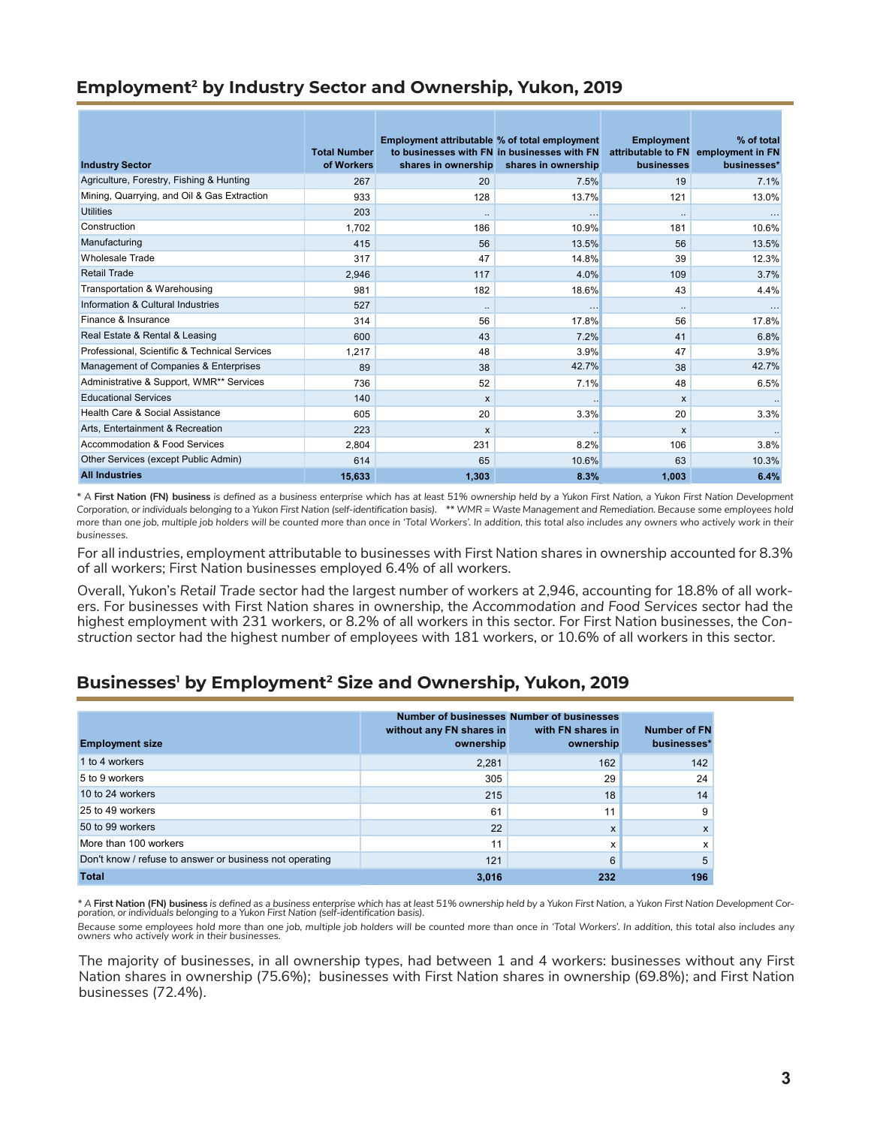## <span id="page-2-0"></span>**Employment2 by Industry Sector and Ownership, Yukon, 2019**

|                                               |                                   | Employment attributable % of total employment |                                                                    | <b>Employment</b> | % of total                                         |
|-----------------------------------------------|-----------------------------------|-----------------------------------------------|--------------------------------------------------------------------|-------------------|----------------------------------------------------|
| <b>Industry Sector</b>                        | <b>Total Number</b><br>of Workers | shares in ownership                           | to businesses with FN in businesses with FN<br>shares in ownership | businesses        | attributable to FN employment in FN<br>businesses* |
| Agriculture, Forestry, Fishing & Hunting      | 267                               | 20                                            | 7.5%                                                               | 19                | 7.1%                                               |
| Mining, Quarrying, and Oil & Gas Extraction   | 933                               | 128                                           | 13.7%                                                              | 121               | 13.0%                                              |
| <b>Utilities</b>                              | 203                               | $\ldots$                                      | $\cdots$                                                           | $\ldots$          | $\cdots$                                           |
| Construction                                  | 1,702                             | 186                                           | 10.9%                                                              | 181               | 10.6%                                              |
| Manufacturing                                 | 415                               | 56                                            | 13.5%                                                              | 56                | 13.5%                                              |
| <b>Wholesale Trade</b>                        | 317                               | 47                                            | 14.8%                                                              | 39                | 12.3%                                              |
| <b>Retail Trade</b>                           | 2,946                             | 117                                           | 4.0%                                                               | 109               | 3.7%                                               |
| Transportation & Warehousing                  | 981                               | 182                                           | 18.6%                                                              | 43                | 4.4%                                               |
| Information & Cultural Industries             | 527                               | $\ddotsc$                                     | $\ddotsc$                                                          | $\ldots$          |                                                    |
| Finance & Insurance                           | 314                               | 56                                            | 17.8%                                                              | 56                | 17.8%                                              |
| Real Estate & Rental & Leasing                | 600                               | 43                                            | 7.2%                                                               | 41                | 6.8%                                               |
| Professional, Scientific & Technical Services | 1.217                             | 48                                            | 3.9%                                                               | 47                | 3.9%                                               |
| Management of Companies & Enterprises         | 89                                | 38                                            | 42.7%                                                              | 38                | 42.7%                                              |
| Administrative & Support, WMR** Services      | 736                               | 52                                            | 7.1%                                                               | 48                | 6.5%                                               |
| <b>Educational Services</b>                   | 140                               | $\mathsf{x}$                                  |                                                                    | X                 |                                                    |
| Health Care & Social Assistance               | 605                               | 20                                            | 3.3%                                                               | 20                | 3.3%                                               |
| Arts. Entertainment & Recreation              | 223                               | $\mathsf{x}$                                  |                                                                    | X                 |                                                    |
| Accommodation & Food Services                 | 2,804                             | 231                                           | 8.2%                                                               | 106               | 3.8%                                               |
| Other Services (except Public Admin)          | 614                               | 65                                            | 10.6%                                                              | 63                | 10.3%                                              |
| <b>All Industries</b>                         | 15,633                            | 1,303                                         | 8.3%                                                               | 1,003             | 6.4%                                               |

*\* A* **First Nation (FN) business** *is defined as a business enterprise which has at least 51% ownership held by a Yukon First Nation, a Yukon First Nation Development Corporation, or individuals belonging to a Yukon First Nation (self-identification basis). \*\* WMR = Waste Management and Remediation. Because some employees hold more than one job, multiple job holders will be counted more than once in 'Total Workers'. In addition, this total also includes any owners who actively work in their businesses.*

For all industries, employment attributable to businesses with First Nation shares in ownership accounted for 8.3% of all workers; First Nation businesses employed 6.4% of all workers.

Overall, Yukon's *Retail Trade* sector had the largest number of workers at 2,946, accounting for 18.8% of all workers. For businesses with First Nation shares in ownership, the *Accommodation and Food Services* sector had the highest employment with 231 workers, or 8.2% of all workers in this sector. For First Nation businesses, the *Construction* sector had the highest number of employees with 181 workers, or 10.6% of all workers in this sector.

### **Businesses1 by Employment2 Size and Ownership, Yukon, 2019**

| <b>Employment size</b>                                  | without any FN shares in<br>ownership | Number of businesses Number of businesses<br>with FN shares in<br>ownership | <b>Number of FN</b><br>businesses* |
|---------------------------------------------------------|---------------------------------------|-----------------------------------------------------------------------------|------------------------------------|
| 1 to 4 workers                                          | 2,281                                 | 162                                                                         | 142                                |
| 5 to 9 workers                                          | 305                                   | 29                                                                          | 24                                 |
| 10 to 24 workers                                        | 215                                   | 18                                                                          | 14                                 |
| 25 to 49 workers                                        | 61                                    | 11                                                                          | 9                                  |
| 50 to 99 workers                                        | 22                                    | X                                                                           | X                                  |
| More than 100 workers                                   | 11                                    | x                                                                           | x                                  |
| Don't know / refuse to answer or business not operating | 121                                   | 6                                                                           |                                    |
| <b>Total</b>                                            | 3,016                                 | 232                                                                         | 196                                |

\* A **First Nation (FN) business** is defined as a business enterprise which has at least 51% ownership held by a Yukon First Nation, a Yukon First Nation Development Corporation, or individuals belonging to a Yukon First Na

*Because some employees hold more than one job, multiple job holders will be counted more than once in 'Total Workers'. In addition, this total also includes any owners who actively work in their businesses.*

The majority of businesses, in all ownership types, had between 1 and 4 workers: businesses without any First Nation shares in ownership (75.6%); businesses with First Nation shares in ownership (69.8%); and First Nation businesses (72.4%).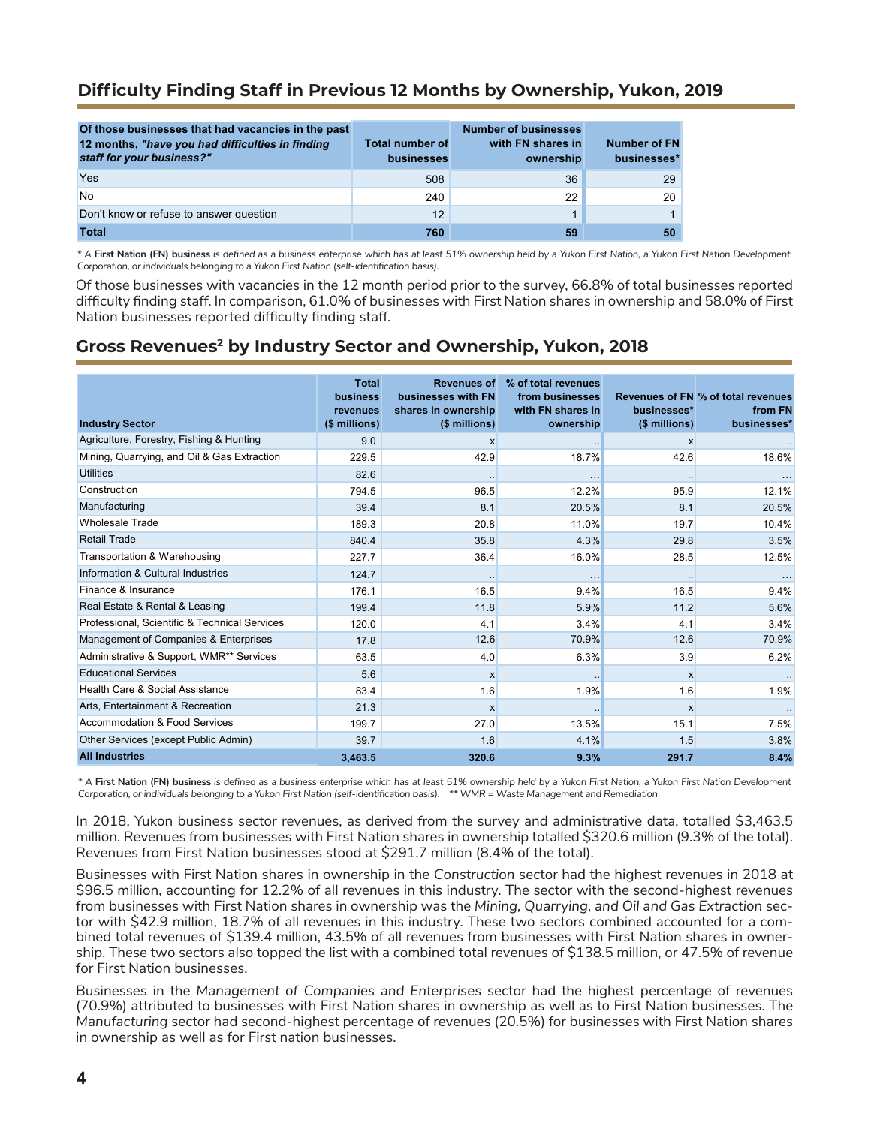### <span id="page-3-0"></span>**Difficulty Finding Staff in Previous 12 Months by Ownership, Yukon, 2019**

| Of those businesses that had vacancies in the past<br>12 months, "have you had difficulties in finding<br>staff for your business?" | <b>Total number of</b><br>businesses | <b>Number of businesses</b><br>with FN shares in<br>ownership | <b>Number of FN</b><br>businesses* |
|-------------------------------------------------------------------------------------------------------------------------------------|--------------------------------------|---------------------------------------------------------------|------------------------------------|
| Yes                                                                                                                                 | 508                                  | 36                                                            | 29                                 |
| <b>No</b>                                                                                                                           | 240                                  | 22                                                            | 20 <sup>1</sup>                    |
| Don't know or refuse to answer question                                                                                             | 12                                   |                                                               | 1                                  |
| <b>Total</b>                                                                                                                        | 760                                  | 59                                                            | 50                                 |

*\* A* **First Nation (FN) business** *is defined as a business enterprise which has at least 51% ownership held by a Yukon First Nation, a Yukon First Nation Development Corporation, or individuals belonging to a Yukon First Nation (self-identification basis).* 

Of those businesses with vacancies in the 12 month period prior to the survey, 66.8% of total businesses reported difficulty finding staff. In comparison, 61.0% of businesses with First Nation shares in ownership and 58.0% of First Nation businesses reported difficulty finding staff.

### **Gross Revenues2 by Industry Sector and Ownership, Yukon, 2018**

| <b>Industry Sector</b>                        | <b>Total</b><br><b>business</b><br><b>revenues</b><br>$$$ millions) | <b>Revenues of</b><br>businesses with FN<br>shares in ownership<br>(\$ millions) | % of total revenues<br>from businesses<br>with FN shares in<br>ownership | businesses*<br>(\$ millions) | Revenues of FN % of total revenues<br>from FN<br>businesses* |
|-----------------------------------------------|---------------------------------------------------------------------|----------------------------------------------------------------------------------|--------------------------------------------------------------------------|------------------------------|--------------------------------------------------------------|
| Agriculture, Forestry, Fishing & Hunting      | 9.0                                                                 | $\mathsf{x}$                                                                     |                                                                          | $\mathsf{x}$                 |                                                              |
| Mining, Quarrying, and Oil & Gas Extraction   | 229.5                                                               | 42.9                                                                             | 18.7%                                                                    | 42.6                         | 18.6%                                                        |
| <b>Utilities</b>                              | 82.6                                                                |                                                                                  |                                                                          |                              |                                                              |
| Construction                                  | 794.5                                                               | 96.5                                                                             | 12.2%                                                                    | 95.9                         | 12.1%                                                        |
| Manufacturing                                 | 39.4                                                                | 8.1                                                                              | 20.5%                                                                    | 8.1                          | 20.5%                                                        |
| <b>Wholesale Trade</b>                        | 189.3                                                               | 20.8                                                                             | 11.0%                                                                    | 19.7                         | 10.4%                                                        |
| <b>Retail Trade</b>                           | 840.4                                                               | 35.8                                                                             | 4.3%                                                                     | 29.8                         | 3.5%                                                         |
| Transportation & Warehousing                  | 227.7                                                               | 36.4                                                                             | 16.0%                                                                    | 28.5                         | 12.5%                                                        |
| Information & Cultural Industries             | 124.7                                                               |                                                                                  | $\ddotsc$                                                                |                              | $\cdots$                                                     |
| Finance & Insurance                           | 176.1                                                               | 16.5                                                                             | 9.4%                                                                     | 16.5                         | 9.4%                                                         |
| Real Estate & Rental & Leasing                | 199.4                                                               | 11.8                                                                             | 5.9%                                                                     | 11.2                         | 5.6%                                                         |
| Professional, Scientific & Technical Services | 120.0                                                               | 4.1                                                                              | 3.4%                                                                     | 4.1                          | 3.4%                                                         |
| Management of Companies & Enterprises         | 17.8                                                                | 12.6                                                                             | 70.9%                                                                    | 12.6                         | 70.9%                                                        |
| Administrative & Support, WMR** Services      | 63.5                                                                | 4.0                                                                              | 6.3%                                                                     | 3.9                          | 6.2%                                                         |
| <b>Educational Services</b>                   | 5.6                                                                 | $\boldsymbol{\mathsf{x}}$                                                        |                                                                          | $\mathsf{x}$                 |                                                              |
| Health Care & Social Assistance               | 83.4                                                                | 1.6                                                                              | 1.9%                                                                     | 1.6                          | 1.9%                                                         |
| Arts, Entertainment & Recreation              | 21.3                                                                | $\boldsymbol{\mathsf{x}}$                                                        |                                                                          | $\mathsf{x}$                 |                                                              |
| Accommodation & Food Services                 | 199.7                                                               | 27.0                                                                             | 13.5%                                                                    | 15.1                         | 7.5%                                                         |
| Other Services (except Public Admin)          | 39.7                                                                | 1.6                                                                              | 4.1%                                                                     | 1.5                          | 3.8%                                                         |
| <b>All Industries</b>                         | 3,463.5                                                             | 320.6                                                                            | 9.3%                                                                     | 291.7                        | 8.4%                                                         |

*\* A* **First Nation (FN) business** *is defined as a business enterprise which has at least 51% ownership held by a Yukon First Nation, a Yukon First Nation Development Corporation, or individuals belonging to a Yukon First Nation (self-identification basis). \*\* WMR = Waste Management and Remediation*

In 2018, Yukon business sector revenues, as derived from the survey and administrative data, totalled \$3,463.5 million. Revenues from businesses with First Nation shares in ownership totalled \$320.6 million (9.3% of the total). Revenues from First Nation businesses stood at \$291.7 million (8.4% of the total).

Businesses with First Nation shares in ownership in the *Construction* sector had the highest revenues in 2018 at \$96.5 million, accounting for 12.2% of all revenues in this industry. The sector with the second-highest revenues from businesses with First Nation shares in ownership was the *Mining, Quarrying, and Oil and Gas Extraction* sector with \$42.9 million, 18.7% of all revenues in this industry. These two sectors combined accounted for a combined total revenues of \$139.4 million, 43.5% of all revenues from businesses with First Nation shares in ownership. These two sectors also topped the list with a combined total revenues of \$138.5 million, or 47.5% of revenue for First Nation businesses.

Businesses in the *Management of Companies and Enterprises* sector had the highest percentage of revenues (70.9%) attributed to businesses with First Nation shares in ownership as well as to First Nation businesses. The *Manufacturing* sector had second-highest percentage of revenues (20.5%) for businesses with First Nation shares in ownership as well as for First nation businesses.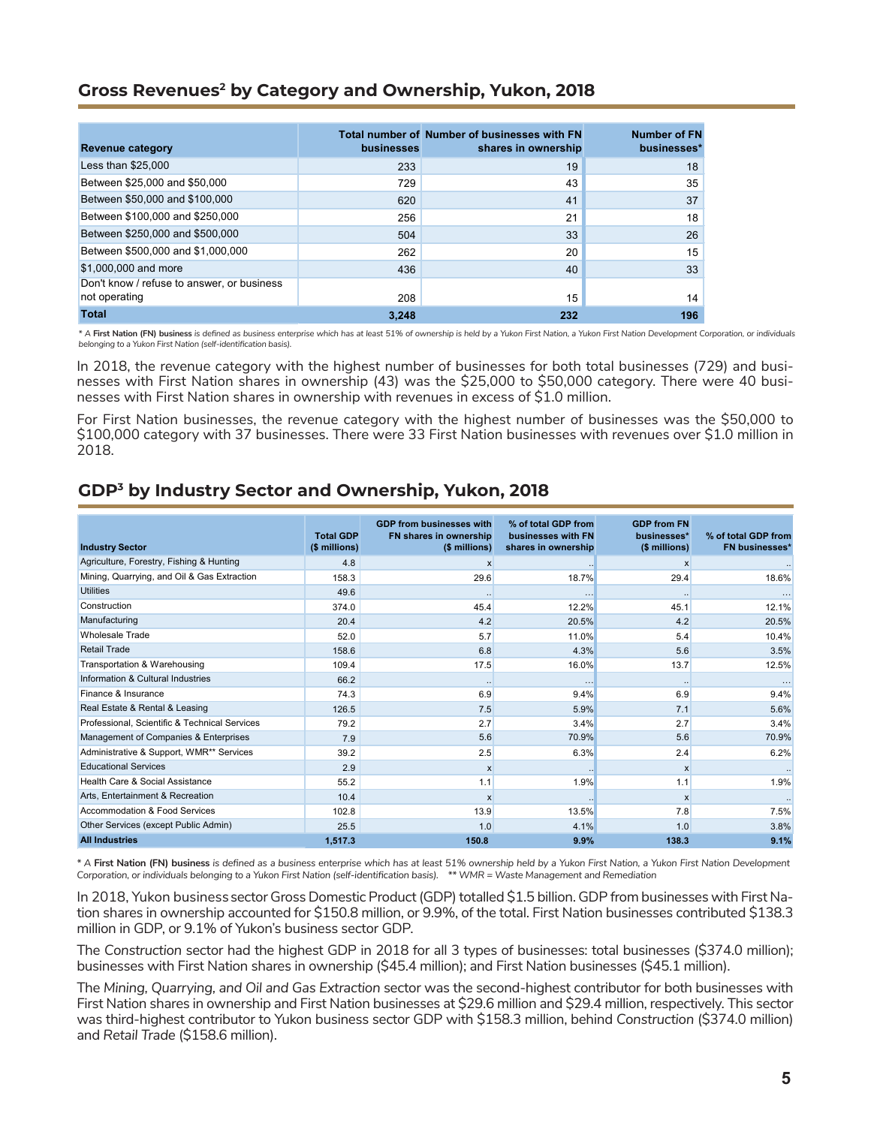#### <span id="page-4-0"></span>**Gross Revenues2 by Category and Ownership, Yukon, 2018**

| <b>Revenue category</b>                    | <b>businesses</b> | Total number of Number of businesses with FN<br>shares in ownership | <b>Number of FN</b><br>businesses* |
|--------------------------------------------|-------------------|---------------------------------------------------------------------|------------------------------------|
| Less than \$25,000                         | 233               | 19                                                                  | 18                                 |
| Between \$25,000 and \$50,000              | 729               | 43                                                                  | 35                                 |
| Between \$50,000 and \$100,000             | 620               | 41                                                                  | 37                                 |
| Between \$100,000 and \$250,000            | 256               | 21                                                                  | 18                                 |
| Between \$250,000 and \$500,000            | 504               | 33                                                                  | 26                                 |
| Between \$500,000 and \$1,000,000          | 262               | 20                                                                  | 15                                 |
| \$1,000,000 and more                       | 436               | 40                                                                  | 33                                 |
| Don't know / refuse to answer, or business |                   |                                                                     |                                    |
| not operating                              | 208               | 15                                                                  | 14                                 |
| <b>Total</b>                               | 3.248             | 232                                                                 | 196                                |

*\* A* **First Nation (FN) business** *is defined as business enterprise which has at least 51% of ownership is held by a Yukon First Nation, a Yukon First Nation Development Corporation, or individuals belonging to a Yukon First Nation (self-identification basis).* 

In 2018, the revenue category with the highest number of businesses for both total businesses (729) and businesses with First Nation shares in ownership (43) was the \$25,000 to \$50,000 category. There were 40 businesses with First Nation shares in ownership with revenues in excess of \$1.0 million.

For First Nation businesses, the revenue category with the highest number of businesses was the \$50,000 to \$100,000 category with 37 businesses. There were 33 First Nation businesses with revenues over \$1.0 million in 2018.

## **GDP3 by Industry Sector and Ownership, Yukon, 2018**

| <b>Industry Sector</b>                        | <b>Total GDP</b><br>(\$ millions) | <b>GDP from businesses with</b><br>FN shares in ownership<br>(\$ millions) | % of total GDP from<br>businesses with FN<br>shares in ownership | <b>GDP from FN</b><br>businesses*<br>(\$ millions) | % of total GDP from<br><b>FN businesses*</b> |
|-----------------------------------------------|-----------------------------------|----------------------------------------------------------------------------|------------------------------------------------------------------|----------------------------------------------------|----------------------------------------------|
| Agriculture, Forestry, Fishing & Hunting      | 4.8                               | X                                                                          |                                                                  | X                                                  |                                              |
| Mining, Quarrying, and Oil & Gas Extraction   | 158.3                             | 29.6                                                                       | 18.7%                                                            | 29.4                                               | 18.6%                                        |
| <b>Utilities</b>                              | 49.6                              |                                                                            |                                                                  |                                                    |                                              |
| Construction                                  |                                   | $\ddot{\phantom{0}}$                                                       | $\cdots$                                                         | $\ddotsc$                                          | 12.1%                                        |
| Manufacturing                                 | 374.0                             | 45.4                                                                       | 12.2%                                                            | 45.1                                               |                                              |
|                                               | 20.4                              | 4.2                                                                        | 20.5%                                                            | 4.2                                                | 20.5%                                        |
| Wholesale Trade                               | 52.0                              | 5.7                                                                        | 11.0%                                                            | 5.4                                                | 10.4%                                        |
| <b>Retail Trade</b>                           | 158.6                             | 6.8                                                                        | 4.3%                                                             | 5.6                                                | 3.5%                                         |
| Transportation & Warehousing                  | 109.4                             | 17.5                                                                       | 16.0%                                                            | 13.7                                               | 12.5%                                        |
| Information & Cultural Industries             | 66.2                              |                                                                            |                                                                  |                                                    |                                              |
| Finance & Insurance                           | 74.3                              | 6.9                                                                        | 9.4%                                                             | 6.9                                                | 9.4%                                         |
| Real Estate & Rental & Leasing                | 126.5                             | 7.5                                                                        | 5.9%                                                             | 7.1                                                | 5.6%                                         |
| Professional, Scientific & Technical Services | 79.2                              | 2.7                                                                        | 3.4%                                                             | 2.7                                                | 3.4%                                         |
| Management of Companies & Enterprises         | 7.9                               | 5.6                                                                        | 70.9%                                                            | 5.6                                                | 70.9%                                        |
| Administrative & Support, WMR** Services      | 39.2                              | 2.5                                                                        | 6.3%                                                             | 2.4                                                | 6.2%                                         |
| <b>Educational Services</b>                   | 2.9                               | $\mathsf{x}$                                                               |                                                                  | $\boldsymbol{\mathsf{x}}$                          |                                              |
| Health Care & Social Assistance               | 55.2                              | 1.1                                                                        | 1.9%                                                             | 1.1                                                | 1.9%                                         |
| Arts, Entertainment & Recreation              | 10.4                              | X                                                                          |                                                                  | X                                                  |                                              |
| Accommodation & Food Services                 | 102.8                             | 13.9                                                                       | 13.5%                                                            | 7.8                                                | 7.5%                                         |
| Other Services (except Public Admin)          | 25.5                              | 1.0                                                                        | 4.1%                                                             | 1.0                                                | 3.8%                                         |
| <b>All Industries</b>                         | 1,517.3                           | 150.8                                                                      | 9.9%                                                             | 138.3                                              | 9.1%                                         |

*\* A* **First Nation (FN) business** *is defined as a business enterprise which has at least 51% ownership held by a Yukon First Nation, a Yukon First Nation Development Corporation, or individuals belonging to a Yukon First Nation (self-identification basis). \*\* WMR = Waste Management and Remediation*

In 2018, Yukon businesssector Gross Domestic Product (GDP) totalled \$1.5 billion. GDP from businesses with First Nation shares in ownership accounted for \$150.8 million, or 9.9%, of the total. First Nation businesses contributed \$138.3 million in GDP, or 9.1% of Yukon's business sector GDP.

The *Construction* sector had the highest GDP in 2018 for all 3 types of businesses: total businesses (\$374.0 million); businesses with First Nation shares in ownership (\$45.4 million); and First Nation businesses (\$45.1 million).

The *Mining, Quarrying, and Oil and Gas Extraction* sector was the second-highest contributor for both businesses with First Nation shares in ownership and First Nation businesses at \$29.6 million and \$29.4 million, respectively. This sector was third-highest contributor to Yukon business sector GDP with \$158.3 million, behind *Construction* (\$374.0 million) and *Retail Trade* (\$158.6 million).